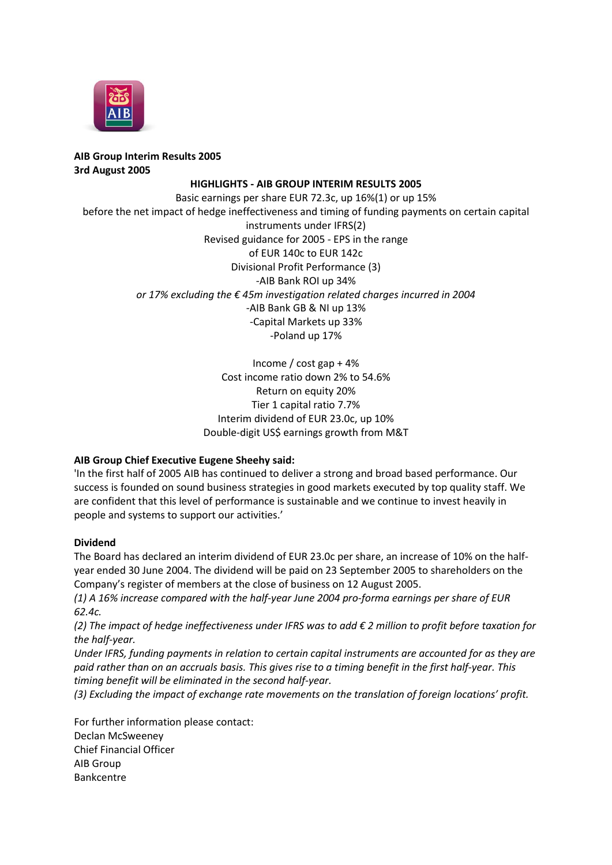

## **AIB Group Interim Results 2005 3rd August 2005**

## **HIGHLIGHTS - AIB GROUP INTERIM RESULTS 2005**

Basic earnings per share EUR 72.3c, up 16%(1) or up 15% before the net impact of hedge ineffectiveness and timing of funding payments on certain capital instruments under IFRS(2) Revised guidance for 2005 - EPS in the range of EUR 140c to EUR 142c Divisional Profit Performance (3) -AIB Bank ROI up 34% *or 17% excluding the € 45m investigation related charges incurred in 2004* -AIB Bank GB & NI up 13% -Capital Markets up 33% -Poland up 17%

> Income / cost gap + 4% Cost income ratio down 2% to 54.6% Return on equity 20% Tier 1 capital ratio 7.7% Interim dividend of EUR 23.0c, up 10% Double-digit US\$ earnings growth from M&T

## **AIB Group Chief Executive Eugene Sheehy said:**

'In the first half of 2005 AIB has continued to deliver a strong and broad based performance. Our success is founded on sound business strategies in good markets executed by top quality staff. We are confident that this level of performance is sustainable and we continue to invest heavily in people and systems to support our activities.'

## **Dividend**

The Board has declared an interim dividend of EUR 23.0c per share, an increase of 10% on the halfyear ended 30 June 2004. The dividend will be paid on 23 September 2005 to shareholders on the Company's register of members at the close of business on 12 August 2005.

*(1) A 16% increase compared with the half-year June 2004 pro-forma earnings per share of EUR 62.4c.*

*(2) The impact of hedge ineffectiveness under IFRS was to add € 2 million to profit before taxation for the half-year.*

*Under IFRS, funding payments in relation to certain capital instruments are accounted for as they are paid rather than on an accruals basis. This gives rise to a timing benefit in the first half-year. This timing benefit will be eliminated in the second half-year.*

*(3) Excluding the impact of exchange rate movements on the translation of foreign locations' profit.*

For further information please contact: Declan McSweeney Chief Financial Officer AIB Group Bankcentre